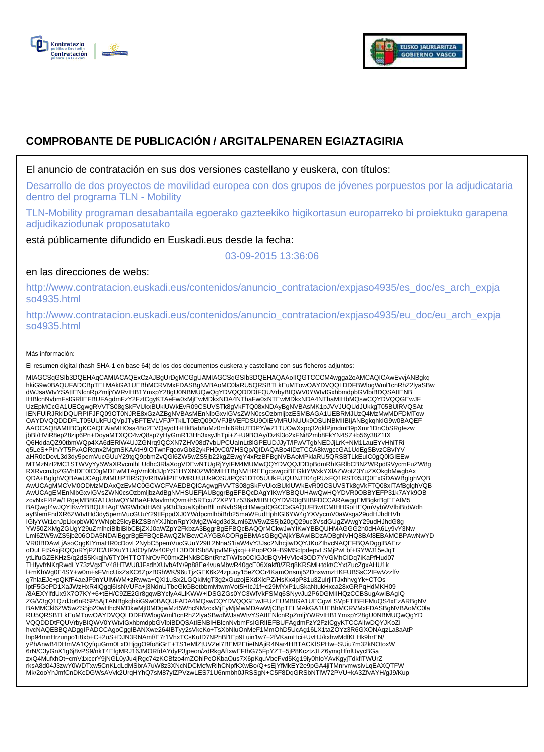



# **COMPROBANTE DE PUBLICACIÓN / ARGITALPENAREN EGIAZTAGIRIA**

El anuncio de contratación en sus dos versiones castellano y euskera, con títulos:

Desarrollo de dos proyectos de movilidad europea con dos grupos de jóvenes porpuestos por la adjudicataria dentro del programa TLN - Mobility

TLN-Mobility programan desabantaila egoerako gazteekiko higikortasun europarreko bi proiektuko garapena adjudikaziodunak proposatutako

está públicamente difundido en Euskadi.eus desde la fecha:

03-09-2015 13:36:06

# en las direcciones de webs:

http://www.contratacion.euskadi.eus/contenidos/anuncio\_contratacion/expjaso4935/es\_doc/es\_arch\_expja so4935.html

http://www.contratacion.euskadi.eus/contenidos/anuncio\_contratacion/expjaso4935/eu\_doc/eu\_arch\_expja so4935.html

### Más información:

El resumen digital (hash SHA-1 en base 64) de los dos documentos euskera y castellano con sus ficheros adjuntos:

MIAGCSqGSIb3DQEHAqCAMIACAQExCzAJBgUrDgMCGgUAMIAGCSqGSIb3DQEHAQAAoIIQGTCCCM4wgga2oAMCAQICAwEvvjANBgkq hkiG9w0BAQUFADCBpTELMAkGA1UEBhMCRVMxFDASBgNVBAoMC0laRU5QRSBTLkEuMTowOAYDVQQLDDFBWlogWml1cnRhZ2lyaSBw dWJsaWtvYSAtIENlcnRpZmljYWRvIHB1YmxpY28gU0NBMUQwQgYDVQQDDDtFQUVrbyBIQWV0YWtvIGxhbmdpbGVlbiBDQSAtIENB IHBlcnNvbmFsIGRlIEFBUFAgdmFzY2FzICgyKTAeFw0xMjEwMDkxNDA4NThaFw0xNTEwMDkxNDA4NThaMIHbMQswCQYDVQQGEwJF UzEpMCcGA1UECgwgRVVTS08gSkFVUkxBUklUWkEvR09CSUVSTk8gVkFTQ08xNDAyBgNVBAsMK1pJVVJUQUdJUkkgT05BUlRVQSAt IENFUlRJRklDQURPIFJFQ09OT0NJRE8xGzAZBgNVBAsMEnNlbGxvIGVsZWN0csOzbmljbzESMBAGA1UEBRMJUzQ4MzMwMDFDMTow OAYDVQQDDDFLT05UUkFUQVpJTyBFTEVLVFJPTklLT0EtQ09OVFJBVEFDSU9OIEVMRUNUUk9OSUNBMIIBIjANBgkqhkiG9w0BAQEF AAOCAQ8AMIIBCgKCAQEAiaMHOsa48o2EVQaydH+HkBab8uMz0mhi6RbUTDPY/wZ1TUOwXxpq32qklPjmdmB9pXmr1DnCbSRgIezw jbBl/HViR8ep28zip6Pn+DoyaMTXQO4wQ8sp7yHyGmR13Hh3xsyJhTpi+Z+U9BOAy/DzKl3o2xFNi82mb8FkYN4SZ+b56y38Z1IX<br>Q6HddaQZ90tbmWQp4XA6dERlW4UJZGNrq9QCXN7ZHV08d7vbUPCUaInLt8lGPEUDJJyT/lFwVTgbNEDJjLrK+NM1LauEYvHhiTRi q5LeS+PIn/YT5FvAORqnx2MgmSKAAtH9lOTwnFqoovGb32ykPH0vC0/7HSQp/QIDAQABo4IDzTCCA8kwgccGA1UdEgSBvzCBvIYV<br>aHR0cDovL3d3dy5pemVucGUuY29tgQ9pbmZvQGl6ZW5wZS5jb22kgZEwgY4xRzBFBgNVBAoMPklaRU5QRSBTLkEuIC0gQ0lGIEEw MTMzNzI2MC1STWVyYy5WaXRvcmlhLUdhc3RlaXogVDEwNTUgRjYyIFM4MUMwQQYDVQQJDDpBdmRhIGRlbCBNZWRpdGVycmFuZW8g RXRvcmJpZGVhIDE0IC0gMDEwMTAgVml0b3JpYS1HYXN0ZWl6MIHTBgNVHREEgcswgciBEGktYWxkYXlAZWotZ3YuZXOkgbMwgbAx QDA+BglghVQBAwUCAgUMMUtPTlRSQVRBWklPIEVMRUtUUk9OSUtPQS1DT05UUkFUQUNJT04gRUxFQ1RST05JQ0ExGDAWBglghVQB AwUCAgMMCVM0ODMzMDAxQzEvMC0GCWCFVAEDBQICAgwgRVVTS08gSkFVUkxBUklUWkEvR09CSUVSTk8gVkFTQ08xITAfBglghVQB AwUCAgEMEnNIbGxvIGVsZWN0csOzbmljbzAdBgNVHSUEFjAUBggrBgEFBQcDAgYIKwYBBQUHAwQwHQYDVR0OBBYEFP31k7AYk9OB<br>zcvNxFl4Pw/1RgejMB8GA1UdIwQYMBaAFMavImhQvm+h5RTcuZ2XPY1z536aMIIBHQYDVR0gBIIBFDCCARAwggEMBgkrBgEEAfM5 BAQwgf4wJQYIKwYBBQUHAgEWGWh0dHA6Ly93d3cuaXplbnBlLmNvbS9jcHMwgdQGCCsGAQUFBwICMIHHGoHEQmVybWVlbiBtdWdh ayBlemFndXR6ZWtvIHd3dy5pemVucGUuY29tIFppdXJ0YWdpcmlhbiBrb25maWFudHphIGl6YW4gYXVycmV0aWsga29udHJhdHVh IGlyYWt1cnJpLkxpbWl0YWNpb25lcyBkZSBnYXJhbnRpYXMgZW4gd3d3Lml6ZW5wZS5jb20gQ29uc3VsdGUgZWwgY29udHJhdG8g YW50ZXMgZGUgY29uZmlhciBlbiBlbCBjZXJ0aWZpY2FkbzA3BggrBgEFBQcBAQQrMCkwJwYIKwYBBQUHMAGGG2h0dHA6Ly9vY3Nw Lml6ZW5wZS5jb206ODA5NDAlBggrBgEFBQcBAwQZMBcwCAYGBACORgEBMAsGBgQAjkYBAwIBDzAOBgNVHQ8BAf8EBAMCBPAwNwYD VR0fBDAwLjAsoCqgKIYmaHR0cDovL2NybC5pemVucGUuY29tL2NnaS1iaW4vY3Jsc2NhcjIwDQYJKoZIhvcNAQEFBQADggIBAErz oDuLFtSAxjRQQuRYjPZfC/UPXuY1UdO/ytWs40Py1L3DDHSb8AlpvfMFyjxq++PopPO9+B9MSctpdepvLSMjPwLbf+GYWJ15eJqT<br>ytLifuGZEKHzS/q2dS5Kkqjh/6TY0HTTOTNrOvF00mxZHNkBCBntRnzT/Wfso0CIGJdBQVHVVle43OD7YVGMhCIDq7iKaPfHud07 THfyvfrNKqRwdLY73zVgxEV48HTWU8JFsdhXUvbAfY/9p88Ee4vuaMbwR40gcE06Xakf8/ZRq8KRSMi+tdkt/CYxtZucZgxAHU1k l+mKhWg0E4SY+w0m+sFVricUixZsXC6ZpzBGhWK/96uTjzGEK6k24zpuoy15eZOCr4KamOnsmj52DnxwmzHKFUBSsC2IFwVzzffv g7hlaEJc+pQKfF4aeJF9nYUIMWM+zRwwa+QXI1uSx2LGQkiMgT3g2xGuzojEXdXlcPZ/HsKx4pP81u3ZuIrjiITJxhhvgYk+CTOs<br>lptF5GePD1XaJWzHxR4iQgql6IsNVUFa+j3NdnUTbeGkGBetbbmMtwmVot5HlcJ1f+c29MYxP1uSkaNtukHxca28xGRPqHdMKH09 /8AEXYlfdUx9X7O7KY+6+tEH/C9ZE2Gr8gqwBYclyA4LlKWW+lDSGZGs0YC3WfVkFSMq6SNyvJu2P6DGMIIHQzCCBSugAwIBAgIQ ZG/V3gQ1QzdJo6nRSP5AjTANBgkqhkiG9w0BAQUFADA4MQswCQYDVQQGEwJFUzEUMBIGA1UECgwLSVpFTlBFIFMuQS4xEzARBgNV BAMMCkl6ZW5wZS5jb20wHhcNMDkwMjI0MDgwMzI5WhcNMzcxMjEyMjMwMDAwWjCBpTELMAkGA1UEBhMCRVMxFDASBgNVBAoMC0la RU5QRSBTLkEuMTowOAYDVQQLDDFBWlogWml1cnRhZ2lyaSBwdWJsaWtvYSAtIENlcnRpZmljYWRvIHB1YmxpY28gU0NBMUQwQgYD VQQDDDtFQUVrbyBIQWV0YWtvIGxhbmdpbGVlbiBDQSAtIENBIHBlcnNvbmFsIGRIIEFBUFAgdmFzY2FzICgyKTCCAiIwDQYJKoZI<br>hvcNAQEBBQADggIPADCCAgoCggIBANXwe264IBTyy2sVkcKo+TsXbNluOnMeF1MmOhD5UcAg16LX1taZOYz3R6GXONAqzLa8aAtP lnp94mnHrzunpo1i8xb+C+2uS+DJN3RNAmf/E7r1VhxTCsKuID7NPhBl1Ep9Luin1w7+2fVKamHci+UvHJ/kxhwMdfKLHk9hrEN/ yPhAnwB4DHmVA1QyfquGrm0LxDHjggO9fo8iGrE+TS1eMlZtUVZel7BEM2EtiefNAjiR4Nar4HBTACKfSPHw+SUiu7m32kNOtoxW 6rN/C3yGnX1g6j8vPS9/nkT4EfgMRJ16JMORfdAYdyP3jpeon/zdRkgAfIxwEFIhG75FpYZT+5jP8KcztzJLZ6ymqHfnlUvycBGa zxQ4MufxhOt+cmV1xccrY9jNGL0yJu4jRgc74zKCBfzo4mZOhlPeOKbaOus7X6pKquVbeFvd5Kg19iy0hIoYAvKgyjTdkflTWUrZ rksA8d04J3zwY0WDTxw5CnKLdLdMSbrA7uW8z3XNcNDCMcfwRihCNpfKXwBo/Q+sEjYfMkEY2e9pGA4jiTMnrvmwsivLqEAXQTFW Mk/2ooYhJmfCnDKcDGWsAVvk2UrqHYhQ7sM87ylZPVzwLES71U6nmbh0JRSSgN+C5F8DqGRSbNTlW72PVU+kA3ZfvAYH/gJ9/Kup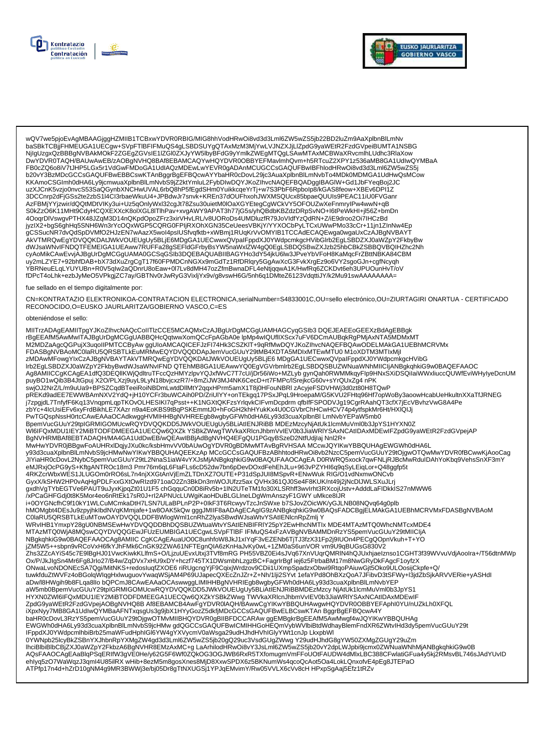



wQV7we5pjoEvAgMBAAGjggHZMIIB1TCBxwYDVR0RBIG/MIG8hhVodHRwOi8vd3d3Lml6ZW5wZS5jb22BD2luZm9AaXplbnBlLmNv www.you.com/account/state/state/state/state/state/state/state/state/state/state/state/state/state/state/state/<br>https://www.you.com/account/state/state/state/state/state/state/state/state/state/state/state/peiBUMTA1NSBG<br>DwY FB0cZQ6o8iV7tJHP5LGx5r1VdGwFMDoGA1UdIAQzMDEwLwYEVR0gADAnMCUGCCsGAQUFBwIBFhlodHRwOi8vd3d3Lml6ZW5wZS5j b20vY3BzMDcGCCsGAQUFBwEBBCswKTAnBggrBgEFBQcwAYYbaHR0cDovL29jc3AuaXplbnBlLmNvbTo4MDk0MDMGA1UdHwQsMCow KKAmoCSGImh0dHA6Ly9jcmwuaXplbnBlLmNvbS9jZ2ktYmluL2FybDIwDQYJKoZIhvcNAQEFBQADggIBAGIW+Gd1JbFYeqBoj2JC uzXJCnK5vzjo0nvcS53SaQGynbXNCHwUVAL6rbQ8hP5fEgdSHm0YuikkcqeYrTj+w7S3PbF6Rpbolp8/kGAS8feow+XBEv6DPI1Z 3DCCnrp2dFjGSs2te2zbS1l4Cl3rbaeWkuU4+JPBdwJr7snvk+KREn37dOUFhxohJWXMSQUcx85bpaeQUUIs9PEAC11iU0FVGanr 42FBMjYYjzwir/dQQtMDtVlKy3ui+Uz5qOnlyWxl32cgJt78Zsu30uietM0lOaXGYEtegCgWCkVY5OFOUZwXeFnmrylPw4wwN+qB jyzlX2+bgS6ghHq5SNH6Wn3rYcOQxWGP5CQRG0FPIjRXOhXGN35CeUeesVBKjY/YYXOCbPyLTCxUWwPMo33cCr+11jn1ZlnNw4Ep AKVTMRQwEgYDVQQKDAtJWKVOUEUgUy5BLjE6MDgGA1UECwwxQVpalFppdXJ0YWdpcmkgcHVibGlrb2EgLSBDZXJ0aWZpY2FkbyBw<br>dWJsaWNvlFNDQTFEMEIGA1UEAww7RUFFa28gSEFIdGFrbyBsYW5naWxlZW4gQ0EgLSBDQSBwZXJzb25hbCBkZSBBQVBQIHZhc2Nh<br>cyAoMikCAwEvvjAJBgUr -you.uxy=n=nyin=gsimpathyty=nyin=gsimpathyty=nyin=gsimpathyty=nyin=gsimpathyty=castled=diagon=gsimpathyty=diagon=gsimpathyty=diagon=gsimpathyty=diagon=gsimpathyty=diagon=gsimpathyty=diagon=gsimpathyty=diagon=gsimpathyty=di YBRNeuELqLYUYUBn+R0V5qIw2aQDnrU8oEaw+0l7Lv8dMH47ozZfmBwnaDFL4eNtjqqwA1K/HwfRq6ZCKDvt6eh3UPUOunHvT/oV fDPcT4oLhk+ezbJyMeO5VPkgjZC7ay/GBTNv0rJwRyG3VixljYx9v/g8vswH6G/5nh6q1DMteZ6123VdqttiJY/k2Mu91swAAAAAAA=

#### fue sellado en el tiempo digitalmente por:

CN=KONTRATAZIO ELEKTRONIKOA-CONTRATACION ELECTRONICA,serialNumber=S4833001C,OU=sello electrónico,OU=ZIURTAGIRI ONARTUA - CERTIFICADO RECONOCIDO, O=EUSKO JAURLARITZA/GOBIERNO VASCO, C=ES

#### obteniéndose el sello:

MIITrzADAgEAMIITpgYJKoZIhvcNAQcCoIITIzCCE5MCAQMxCzAJBgUrDgMCGgUAMHAGCyqGSIb3 DQEJEAEEoGEEXzBdAgEBBgk<br>rBgEEAfM5AwMwITAJBgUrDgMCGgUABBQHcQqtwwXomQCcFpAGbA0e IpMp4wIQUfIIXScx7uFV6DCmAUBqkRgPMjAxNTA5MDMxMT<br>M2MDZaAgcQGPujX3uqoI - MIDAWMFowgYIXCZAJBgNVBAYTAkVTMRQwEgYDVQQKDAtJWkVOUEUgUy5BLjE6 MDgGA1UECwwxQVpalFppdXJ0YWdpcmkgcHVibG Irb2EgLSBDZXJ0aWZpY2FkbyBwdWJsaWNvIFND QTEhMB8GA1UEAwwYQ0EgVGVrbmlrb2EgLSBDQSBUZWNuaWNhMIICIjANBgkghkiG9w0BAQEFAAOC Ag8AMIICCgKCAgEA1dfQ3DEQlIKWjQdltruTFccQzHMYzlpvYQJxfWvC7T7cU/jDr56iWo+MZLyb gynQah0RWMMkqyFlp9HNxSXiDSQilaiWWxliuccQUWfEviWHylyeDcnUM puyBO1wQib3B4JtGpuj X2O/PLXzj9uyL9LyN18bvjcxzR7/+8mZiJW3MJ4NK6CecD+rt7FMPc/lSrejkcG60v+sYrQUxZg4 nPK presented and the process of the control of the control of the control of the control of the control of the control of the control of the control of the control of the control of the control of the control of the control o ENTROSPEN FOR A MORT AND THE RESERVATION OF THE RESERVATION OF THE RELATIONS OF THE RELATIONS OF THE RELATIONS<br>BpemVucGUuY29tpIGRMIGOMUcwRQYDVQQKDD5JWkVOUEUgUy5BLiAtIENJRiBB MDEzMzcyNjAtUk1lcmMuVml0b3JpYS1HYXN0Z WI6IFQxMDU1IEY2MiBTODFDMEEGA1UECQw6QXZkYSBkZWwgTWVkaXRlcnJhbmVvlEV0b3JiaWRIYSAxNCAtIDAxMDEwIFZpdG9yaWEtR2FzdGVpejAP BgNVHRMBAf8EBTADAQH/MA4GA1UdDwEB/wQEAwIBBjAdBgNVHQ4EFgQU1PGqyBSzeD2NtfUdjlaj Nnl2R+ MwHwYDVR0jBBgwFoAUHRxlDqjyJXu0kc/ksbHmvVV0bAUwOgYDVR0gBDMwMTAvBgRVHSAA MCcwJQYIKwYBBQUHAgEWGWh0dHA6L y93d3cuaXplbnBlLmNvbS9jcHMwNwYIKwYBBQUHAQEEKzAp MCcGCCSGAQUFBzABhhtodHRwOi8vb2NzcC5pemVucGUuY29tOjgwOTQwMwYDVR0fBCwwKjAooCag JIYiaHR0cDovL2NybC5pemVucGUuY29tL2NnaS1iaW4vYXJsMjANBgkqhkiG9w0BAQUFAAOCAgEA D0RWRQ5xock7qwFNLjRJBcMwRduIDAhYoKbq9VehsSnXF3mY<br>HYiaHR0cDovL2NybC5pemVucGUuY29tL2NnaS1iaW4vYXJsMjANBgkqhkiG9w0BAQUFAAOCAgEA D0RWRQ5xock7qwFNLjR 4RKZGrWbxWES1JLUGOm0rRO6sL7n4njXXGtAnVjEmZLTDnXZ7OUTE+P31dSpJUl8MSpvR+ENwWuk RIG/O1vdNxmwONCvb GyxX/kSHW2HP0vAqHgPDLFxxGXtOwRlzd971oaO2Zn3BkDn3mWOJUfzz5ax QVHx361QJ0Se4F8KUK/nt49j2jNcDIJWLSXuJLrj gxdhVgTYbEGTVe6PAUT9uJyxKjpqZt01U1F5 chGqquCn0D8iRv5b+1lN2UTeTM1fo30XLSRhff3wvIrht3RXcojUstv+AdddLaFIDkkIS27nMWW6 .<br>APCaGHFGdj0t8K5Mor4eo6nRtEk17sR0J+rl2APNUcLUWgiKaoHDuBLGLlneLDgWmAnszyF1GWY uMkce8IJR∕ i+0OYGNcfhC9f10kY1WLCuMCmkaDtH7LSN7ULaBPLnP2P+0lkF3T6RcwyvTzcJnSWxe b7SJovZOicWK/yGJLNB08NQvq64g0plb hMOMgbt4DEsJu9zpyjhklbdNVqKMmjafe+1w8OAK5kQw gggJMIIF8aADAgECAgIG9zANBgkqhkiG9w0BAQsFADCBgjELMAKGA1UEBhMCRVMxFDASBgNVBAoM MTAzMTQ0WjA8MQswCQYDVQQGEwJFUzEUMBIGA1UECgwLSVpFTIBF IFMuQS4xFzAVBgNVBAMMDnRzYS5pemVucGUuY29tMIICIjA NBgkghkiG9w0BAQEFAAOCAg8AMIIC CgKCAgEAuaUO0C8unhfoW8JkJ1xIYqF3vEZENb6TjTJ3fzX31Fp2j9IUOn4PECgQOpnVkuh+T+YO jZM5W5++sbpn9vRCoVxH6fkYJhFMk6CnGK92ZWA61NFTEgnQlA6zKnHaJvKy0wL+1ZM0aS6unVOR vm9U9qBUGsG830V2 .<br>Zhs3ZZcAYiS45c7E9lBgHJ01VwcKiwkKLlfmS+O/LjzuUEvxUtxj3TVf8mRG PH55VBZ0Ei4sJVq67XnVUqrQMRIN4hQJUxhjaeIznso1CGHT3f39WVvuVdjAooIra+/T56dtnMWp Ox/P/JkJIgSn4Mr6Fg8Jrlo27/B4w/ZqDVx7xHU9xDY+hczf745TX1DWsmbhLzgzBC+FagrIrBgf iej6z5FtrbaBM17m8NwGRyDkFAgcF1oyfzX ONwaLvoNDONEcSA7Qgi/MitNKS+redosluqfZXOE6 riRUgcngYjF9CqixjWrdzov9CDii1UXmpSpadzxObwi9RtqoPAiuwGjt5Oko9ULOosijCkpfe+Q/ tuwkfduZtWVFz4oBGolqWlqgHxlwuguovYwaqWSjAM4P69UJapecQXEcZnJZr+Z+Nh/1lji2SYvt 1efaYPd8OhBXzQoA7JFibvD3tSFWy+l3jdZbSjkARVVERie+yASHdI<br>aDw/l8HWgih9b8FLqa8llo bQPCmJ8CAwEAAaOCAswwggLIMIHHBgNVHRIEgb8wgbyGFWh0dHA6Ly93d3cuaXplbnB HYXN0ZWI6IFQxMDU1IEY2MiBTODFDMEEGA1UECQw6QXZkYSBkZWwgTWVkaXRlcnJhbmVvIEV0b3JiaWRIYSAxNCAtIDAxMDEwIF ZpdG9yaWEtR2FzdGVpejAOBgNVHQ8BAf8EBAMCB4AwFgYDVR0IAQH/BAwwCgYIKwYBBQUHAwgwHQYDVR0OBBYEFAphl0YU/nUZkLh0XFQL iXpxNyy7MB8GA1UdlwQYMBaAFNTxqsgUs3g9jbX1HYyGozZ5dkfjMDcGCCsGAQUFBwELBCswKTAn BggrBgEFBQcwA4Y baHR0cDovL3RzYS5pemVucGUuY29tOjgwOTMvMIIBHQYDVR0gBIIBFDCCARAw ggEMBgkrBgEEAfM5AwMwgf4wJQYIKwYBBQUHAg<br>EWGWh0dHA6Ly93d3cuaXplbnBlLmNvbS9jcHMw gdQGCCsGAQUFBwICMIHHGoHEQmVybWVlbiBtdWdhayBlemFndXR6ZWtvlHd3dy5pemVucGUuY29t - EWGWhuaHA6Ly93a3cuaApibinbiLinivvbS9jChiww guddocsoAdor Dwiciwii in idon iLdinivybyyyhtichyp LkxpbWl<br>TFppdXJ0YWdpcmlhbiBrb25maWFudHphIGl6YW4gYXVycmV0aWsga29udHJhdHVhIGlyYWt1cnJp LkxpbWl<br>- 0YWNpb25lcyBkZSBnYXJhbnRpYXMgZW4 or wikiplose.com/wikiplose/interference/interference/interference/interference/interference/interference/interference/interference/interference/interference/interference/interference/interference/interference/interference ehlyq5zO7WaWqzJ3qml4U85ilRX wHib+8ezM5m8gosXnes8MjD8XxwSPDX6z5BKNumWs4qcoQcAot5Oa4LokLQnxofvE4pEg8JTEPaO ATPfp17n4d+hZrD10gNM4g9MR3BWWj3e/bj05Dr8gTtNXUGSj1YPJqEMvimY/Rw05VVLX6cVv8cH HPxpSgAaj5Efz1tRZv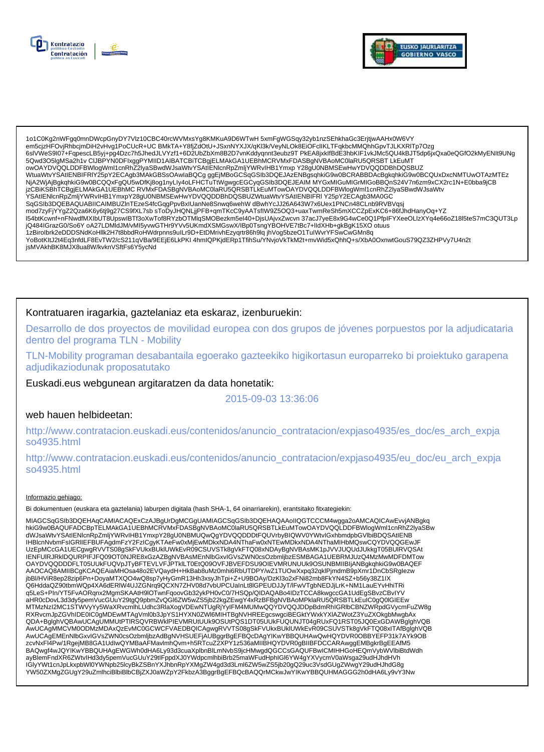



1o1C0Kg2nWFgq0mnDWcpGnyDY7Vlz10CBC40rcWVMxsYg8KMKuA9D6WTwH 5xmFgWGSqy32yb1nzSEhkhaGc3ErjtjwAAHx0W6VY em5cjzHFOvjRhbcjmDiH2vHvg1PoCUcR+UC BMkTA+Y8fjZdOtU+JSxnNYXJX/qKl3k/VeyNLOk8EIOFclIKLTFqkbcMMQnhGpvTJLKXRITp7Ozg 66IVWeS9I07+FqpescLB5yj+pg4Dzc7h5JhedJLVYzf1+6D2UbZbXm8B2D7vnKddyqnnt3eubz9T PkEA8jxklfBdE3hbKIF1vkJMc5QU4kBJT5dp6jxQxa0eQGfO2kMyENIt9UNg<br>5Qwd3O5IgMSa2h1v CIJBPYN0DFlxggPYMIID1AIBATCBiTCBgjELMAkGA1UEBhMCRVMxFDASBgNVBAoMC0l owOAYDVQQLDDFBWlogWml1cnRhZ2lyaSBwdWJsaWtvYSAtIENlcnRpZmljYWRvlHB1Ymxp Y28gU0NBMSEwHwYDVQQDDBhDQSBUZ WtuaWtvYSAtIENBIFRIY25pY2ECAgb3MAkGBSsOAwIaBQCg ggEjMBoGCSqGSIb3DQEJAzENBgsqhkiG9w0BCRABBDAcBgkqhkiG9w0BCQUxDxcNMTUwOTAzMTEz NjA2WjAjBgkqhkiG9w0BCQQxFgQU5wDfKj8og1nyLly4oLFHCTuTtWgwgcEGCyqGSlb3DQEJEAIM MYGxMIGuMIGrMIGoBBQnS24V7n6zm9xCX2rc1N+E0bba9jCB<br>jzCBiKSBhTCBgjELMAkGA1UEBhMCRVMxFDASBgNVBAoMC0laRU5QRSBTLkEuMTowOAYDVQQLDDFBWlogWml1cnRhZ2lyaSBw - CALINGTRIP AND THE MANUSCRIP AND THE SERVICE OF THE MANUSCRIP OF THE MANUSCRIP AND THE SAMPLE OF THE SAMPLE OF SALE SAMPLE OF SAMPLE OF SALE SAMPLE OF SAMPLE OF SAMPLE OF SAMPLE OF SAMPLE OF SAMPLE OF SAMPLE OF SAMPLE OF mod7zyFjYYgZ2Qza6K6y6tj9g27CS9fXL7sbsToDyJHQNLjjPFB+qmTKcC9yAATsflW9Z5OQ3+uaxTwmReSh5mXCCZpExKC6+86fJhdHanyOq+YZ l54btKcwnf+nFNwdfMXlbUT8UpswlBTf3oXwTof8RYzbOTMlqSMOBezkm5el40+DjsUAjvxZwcvn 37acJ7yeE8x9G4wCe0Q1PfplFYXeeOLlzXYq4e66oZ18l5teS7mC3QUT3Lp jQ484lGrazG0/So6Y oA27LDMldJM/vMl5yvwGTHr9YVv5UKmdXSMGswX/lBp0TsngYBOHVE7tBc7+lldXHb+gkBgK15XO otuus 1zBirolbrk2eDDDSNdKoHllk2H7t8bbdRoHWdrpnns9uILr9D+EtDMrivhEzyqrtr86h9lq jhVog5bzeO1TuIWvrYFSwCwGMn8q YoBotKItJ2t4Eq3nfdLF8EvTW2/cS211qVBa/9EEjE6LkPKI 4hmIQPKjdERp1TfihSu/YNvjoVkTkM2t+mvWid5xQhhQ+s/XbA0OxnwtGouS79QZ3ZHPVy7U4n2t jsMVAkhBK8MJX8ua8W/kvknVSftFs6Y5ycNd

## Kontratuaren iragarkia, gaztelaniaz eta eskaraz, izenburuekin:

Desarrollo de dos proyectos de movilidad europea con dos grupos de jóvenes porpuestos por la adjudicataria dentro del programa TLN - Mobility

TLN-Mobility programan desabantaila egoerako gazteekiko higikortasun europarreko bi proiektuko garapena adjudikaziodunak proposatutako

Euskadi.eus webgunean argitaratzen da data honetatik:

### 2015-09-03 13:36:06

### web hauen helbideetan:

http://www.contratacion.euskadi.eus/contenidos/anuncio contratacion/expjaso4935/es doc/es arch expja so4935.html

http://www.contratacion.euskadi.eus/contenidos/anuncio\_contratacion/expjaso4935/eu\_doc/eu\_arch\_expja so4935.html

#### Informazio gehiago:

Bi dokumentuen (euskara eta gaztelania) laburpen digitala (hash SHA-1, 64 oinarriarekin), erantsitako fitxategiekin:

MIAGCSqGSIb3DQEHAqCAMIACAQExCzAJBgUrDgMCGgUAMIAGCSqGSIb3DQEHAQAAoIIQGTCCCM4wgga2oAMCAQICAwEvvjANBgkq hkiG9w0BAQUFADCBpTELMAkGA1UEBhMCRVMxFDASBgNVBAoMC0laRU5QRSBTLkEuMTowOAYDVQQLDDFBWlogWml1cnRhZ2lyaSBw<br>dWJsaWtvYSAtIENlcnRpZmljYWRvlHB1YmxpY28gU0NBMUQwQgYDVQQDDDtFQUVrbyBIQWV0YWtvlGxhbmdpbGVlbiBDQSAtIENB IENFUIRJRKIDQURPIFJFQ09OT0NJRE8xGzAZBgNVBAsMEnNlbGxvIGVsZWN0csOzbmljbzESMBAGA1UEBRMJUzQ4MzMwMDFDMTow OAYDVQQDDDFLT05UUkFUQVpJTyBFTEVLVFJPTkILT0EtQ09OVFJBVEFDSU9OIEVMRUNUUk9OSUNBMIIBIjANBgkghkiG9w0BAQEF AAOCAQ8AMIIBCgKCAQEAiaMHOsa48o2EVQaydH+HkBab8uMz0mhi6RbUTDPY/wZ1TUOwXxpq32qklPjmdmB9pXmr1DnCbSRglezw jbBl/HViR8ep28zip6Pn+DoyaMTXQO4wQ8sp7yHyGmR13Hh3xsyJhTpi+Z+U9BOAy/DzKl3o2xFNi82mb8FkYN4SZ+b56y38Z1IX Q6HddaQZ90tbmWQp4XA6dERIW4UJZGNrq9QCXN7ZHV08d7vbUPCUaInLt8lGPEUDJJyT/IFwVTgbNEDJjLrK+NM1LauEYvHhiTRi q5LeS+PIn/YT5FvAORqnx2MgmSKAAtH9lOTwnFqoovGb32ykPH0vC0/7HSQp/QIDAQABo4IDzTCCA8kwgccGA1UdEgSBvzCBvIYV aHR0cDovL3d3dy5pemVucGUuY29tgQ9pbmZvQGl6ZW5wZS5jb22kgZEwgY4xRzBFBgNVBAoMPklaRU5QRSBTLkEuIC0gQ0lGlEEw MTMzNzI2MC1STWVyYy5WaXRvcmlhLUdhc3RlaXogVDEwNTUgRjYyIFM4MUMwQQYDVQQJDDpBdmRhIGRlbCBNZWRpdGVycmFuZW8g RXRvcmJpZGVhIDE0IC0gMDEwMTAgVml0b3JpYS1HYXN0ZWleMIHTBgNVHREEgcswgciBEGktYWxkYXIAZWotZ3YuZXOkgbMwgbAx QDA+BglghVQBAwUCAgUMMUtPTIRSQVRBWkIPIEVMRUtUUk9OSUtPQS1DT05UUkFUQUNJT04gRUxFQ1RST05JQ0ExGDAWBglghVQB AwUCAgMMCVM0ODMzMDAxQzEvMC0GCWCFVAEDBQICAgwgRVVTS08gSkFVUkxBUkIUWkEvR09CSUVSTk8gVkFTQ08xITAfBglghVQB AwUCAgEMEnNlbGxvlGVsZWN0csOzbmljbzAdBgNVHSUEFjAUBggrBgEFBQcDAgYIKwYBBQUHAwQwHQYDVR0OBBYEFP31k7AYK9OB zcvNxFl4Pw/1RgejMB8GA1UdlwQYMBaAFMavlmhQvm+h5RTcuZ2XPY1z536aMIIBHQYDVR0gBIIBFDCCARAwggEMBgkrBgEEAfM5<br>BAQwgf4wJQYIKwYBBQUHAgEWGWh0dHA6Ly93d3cuaXplbnBlLmNvbS9jcHMwgdQGCCsGAQUFBwICMIHHGoHEQmVybWVlbiBtdWdh ے میں ہیں کہ ہیں۔ میں استعماد کے مطلب کے استعماد کے استعماد استعماد استعماد استعماد استعماد استعماد استعماد اس<br>Referred to the Same Product of the Same Product of the Same Product of the Same Product of Nural Clip YW19YX YW50ZXMgZGUgY29uZmlhciBlbiBlbCBjZXJ0aWZpY2FkbzA3BggrBgEFBQcBAQQrMCkwJwYlKwYBBQUHMAGGG2h0dHA6Ly9vY3Nw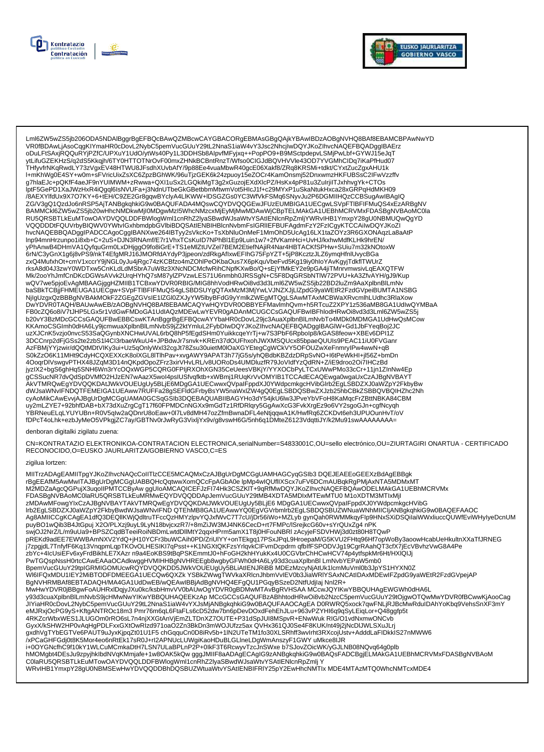



Lml6ZW5wZS5jb206ODA5NDAlBggrBgEFBQcBAwQZMBcwCAYGBACORgEBMAsGBgQAjkYBAwIBDzAOBgNVHQ8BAf8EBAMCBPAwNwYD VR0fBDAwLjAsoCqqKIYmaHR0cDovL2NybC5pemVucGUuY29tL2NnaS1iaW4vY3Jsc2NhcjIwDQYJKoZIhvcNAQEFBQADqqIBAErz oDuLFtSAxjRQQuRYjPZfC/UPXuY1UdO/ytWs40Py1L3DDHSb8AlpvfMFyjxq++PopPO9+B9MSctpdepvLSMjPwLbf+GYWJ15eJqT ytLifuGZEKHzS/q2dS5Kkqjh/6TY0HTTOTNrOvF00mxZHNkBCBntRnzT/Wfso0ClGJdBQVHVVle43OD7YVGMhClDq7iKaPfHud07 THfyvfrNKqRwdLY73zVgxEV48HTWU8JFsdhXUvbAfY/9p88Ee4vuaMbwR40gcE06Xakf8/ZRq8KRSMi+tdkt/CYxtZucZgxAHU1k l+mKhWg0E4SY+w0m+sFVricUixZsXC6ZpzBGhWK/96uTjzGEK6k24zpuoy15eZOCr4KamOnsmj52DnxwmzHKFUBSsC2IFwVzzffv g7hlaEJc+pQKfF4aeJF9nYUIMWM+zRwwa+QXI1uSx2LGQkiMgT3g2xGuzojEXdXlcPZ/HsKx4pP81u3ZulrjilTJxhhvgYk+CTOs<br>lptF5GePD1XaJWzHxR4iQgql6lsNVUFa+j3NdnUTbeGkGBetbbmMtwmVot5HlcJ1f+c29MYxP1uSkaNtukHxca28xGRPqHdMKH09 ры эсле с главующимся и стандительно постоянно постоянно с постании и постоянно постоянно постояния и поминител<br>По дель с постоянно постоянно постоянно постоянно постоянно с с постоянно постоянно постоянно постоянно пост BAMMCkl6ZW5wZS5jb20wHhcNMDkwMjI0MDgwMzI5WhcNMzcxMjEyMjMwMDAwWjCBpTELMAkGA1UEBhMCRVMxFDASBgNVBAoMC0la RU5QRSBTLkEuMTowOAYDVQQLDDFBWlogWml1cnRhZ2lyaSBwdWJsaWtvYSAtlENIcnRpZmljYWRvIHB1YmxpY28gU0NBMUQwQgYD VQQDDDtFQUVrbyBIQWV0YWtvlGxhbmdpbGVIbiBDQSAtIENBIHBIcnNvbmFsIGRIIEFBUFAgdmFzY2FzICgyKTCCAiIwDQYJKoZI hvcNAQEBBQADggIPADCCAgoCggIBANXwe264IBTyy2sVkcKo+TsXbNluOnMeF1MmOhD5UcAg16LX1taZOYz3R6GXONAqzLa8aAtP Inp94mnHrzunpo1i8xb+C+2uS+DJN3RNAmf/E7r1VhxTCsKuID7NPhBI1Ep9Luin1w7+2fVKamHci+UvHJ/kxhwMdfKLHk9hrEN/ yPhAnwB4DHmVA1QyfquGrm0LxDHjggO9fo8iGrE+TS1eMlZtUVZel7BEM2EtiefNAjiR4Nar4HBTACKfSPHw+SUiu7m32kNOtoxW y i insume=u\_univs.ruxpuc.mnoster insultants.ruxpus.ruxpus.ruxpus.ruxpus.ruxpus.ruxpus.ruxpus.ruxpus.ruxpus.rux<br>https://www.scienter.ruxpus.ruxpus.ruxpus.ruxpus.ruxpus.ruxpus.ruxpus.ruxpus.ruxpus.ruxpus.ruxpus.ruxpus.ruxp rksA8d04J3zwY0WDTxw5CnKLdLdMSbrA7uW8z3XNcNDCMcfwRihCNpfKXwBo/Q+sEjYfMkEY2e9pGA4jiTMnrvmwsivLqEAXQTFW Mk/2ooYhJmfCnDKcDGWsAVvk2UrqHYhQ7sM87yIZPVzwLES71U6nmbh0JRSSgN+C5F8DqGRSbNTIW72PVU+kA3ZfvAYH/gJ9/Kup wQV7we5pjoEvAgMBAAGjggHZMIIB1TCBxwYDVR0RBIG/MIG8hhVodHRwOi8vď3d3Lml6ZW5wZS5jb22BD2luZm9AaXplbnBIĽmNv baSBkTCBjjFHMEUGA1UECgw+SVpFTIBFIFMuQS4gLSBDSUYgQTAxMzM3MjYwLVJNZXJjLlZpdG9yaWEtR2FzdGVpeiBUMTA1NSBG NilgUzgxQzBBBgNVBAkMOKF2ZGEgZGVsIE1IZGl0ZXJyYW5lbyBFdG9yYmlkZWEgMTQgLSAwMTAxMCBWaXRvcmlhLUdhc3RlaXow<br>DwYDVR0TAQH/BAUwAwEB/zAOBgNVHQ8BAf8EBAMCAQYwHQYDVR0OBBYEFMavlmhQvm+h5RTcuZ2XPY1z536aMB8GA1UdlwQYMBaA KKAmoCSGImh0dHA6Ly9jcmwuaXplbnBlLmNvbS9jZ2ktYmluL2FybDIwDQYJKoZIhvcNAQEFBQADggIBAGIW+Gd1JbFYeqBoj2JC uzXJCnK5vzjo0nvcS53SaQGynbXNCHwUVAL6rbQ8hP5fEgdSHm0YuikkcqeYrTj+w7S3PbF6Rpbolp8/kGAS8feow+XBEv6DPI1Z 3DCCnrp2dFjGSs2te2zbS1I4Cl3rbaeWkuU4+JPBdwJr7snvk+KREn37dOUFhxonJWXMSQUcx85bpaeQUUIs9PEAC11iU0FVGanr AzFBMjYYjzwir/dQQtMDtVIKy3ui+Uz5qOnlyWxl32cgJt78Zsu30uietM0lOaXGYEtegCgWCkVY5OFOUZwXeFnmryIPw4wwN+qB S0kZzO6K11MHt9CdyHCQXEXXcK8olXGL8lTlhPav+xvgAWY9APAT3h77jG5s/yhQBdbKBZdzDRpSvNO+l6tPeWkHl+jl56Z+bmDn<br>4OoqrDlVswgvPTHX48JZqM3D14nQKpdOpoZFrz3xirVHvLRL/v8UORoDs4UMDluzfR79JoVldfYzQdRN+Z/iE9droo2Oi7lHCzBd 400qrDrvswgvr Tnx460zqrw5D14iiQrxDp2CDRC0FPliRXOhXGN35CeUeesVBKjY/YYXOCbPyLTCxUWwPMo33cCr+11jn1ZInNw4Ep<br>hyzIX2+bgS6ghHq5SNH6Wn3rYcOQxWGP5CQRG0FPIjRXOhXGN35CeUeesVBKjY/YYXOCbPyLTCxUWwPMo33cCr+11jn1ZInNw4Ep<br>gCSSucNR7dvQdSpDV cyAoMikCAwEvvjAJBgUrDgMCGgUAMA0GCSqGŠIb3DQEBAQUABIIBAGYHo3dY54jkU6lw3JPveYbVFoH8KaMqcFrZBttNBKA84CBM uy2mLZYE7+92bhfDAB+bX73dXuZrgCgT17f60FPMDCnNGXx9mGdTz1RfDRlqry5GgAwXcG3FvkXrgEz9o6VY2sgoGJn+cgfNcyqh YBRNeuELqLYUYUBn+R0V5qlw2aQDnrU8oEaw+0l7Lv8dMH47ozZfmBwnaDFL4eNtjqqwA1K/HwfRq6ZCKDvt6eh3UPUOunHvT/oV<br>fDPcT4oLhk+ezbJyMeO5VPkgjZC7ay/GBTNv0rJwRyG3VixljYx9v/g8vswH6G/5nh6q1DMteZ6123VdqttiJY/k2Mu91swAAAAAAAA=

#### denboran digitalki zigilatu zuena:

CN=KONTRATAZIO ELEKTRONIKOA-CONTRATACION ELECTRONICA,serialNumber=S4833001C,OU=sello electrónico,OU=ZIURTAGIRI ONARTUA - CERTIFICADO RECONOCIDO, O=EUSKO JAURLARITZA/GOBIERNO VASCO, C=ES

#### zigilua lortzen:

MIITrzADAgEAMIITpgYJKoZIhvcNAQcCoIITIzCCE5MCAQMxCzAJBgUrDgMCGgUAMHAGCyqGSIb3 DQEJEAEEoGEEXzBdAgEBBgk<br>rBgEEAfM5AwMwITAJBgUrDgMCGgUABBQHcQqtwwXomQCcFpAGbA0e IpMp4wIQUfIIXScx7uFV6DCmAUBqkRgPMjAxNTA5MDMxMT M2MDZaAgcQGPujX3uqoIIPMTCCByAw ggUIoAMCAQICEFJzFI74Hk3CSZKIT+9qRfMwDQYJKoZIhvcNAQEFBQAwODELMAkGA1UEBhMCRVMx FDASBgNVBAoMC0laRU5QRSBTLKEuMRMwEQYDVQQDDApJemVucGUuY29tMB4XDTA5MDIxMTEwMTU0 M1oXDTM3MTIxMjI zMDAwMFowgYIxCzAJBgNVBAYTAkVTMRQwEgYDVQQKDAtJWkVOUEUgUy5BLjE6 MDgGA1UECwwxQVpaIFppdXJ0YWdpcmkgcHVibG Irb2EgLSBDZXJ0aWZpY2FkbyBwdWJsaWNvIFNDQTEhMB8GA1UEAwwYQ0EgVGVrbmlrb2EgLSBDQSBUZWNuaWNhMIICIjANBgkqhkiG9w0BAQEFAAOC Ag8AMIICCgKCAgEA1dfQ3DEQIIKWjQdltruTFccQzHMYzlpvYQJxfWvC7T7cU/jDr56iWo+MZLyb gynQah0RWMMkqyFlp9HNxSXiDSQilaiWWxliuccQUWfEviWHylyeDcnUM<br>https://www.html/https://www.characterity.com/intervention/intervention/intervention/in ka/jOJ2NrZ/L/m9uUa9+BPSZCqdBTeeiRoiNBDmLwtdDllMtY2qqxHPrm5amX1T8j0HFouNBRI zAcyjeFSDVHWj3d0zt80H8TQwP<br>pREKd9adEE7EWWBAmNXV2YdQ+jH10YCFr3buWCAih0PD/ZriUlYY+onTEkgq17PSxJPqL9HroepaM/G5KVU2FHtq96Hf7opWoBy3aoowHcabUeHkultnXX j7zpgjdL7TnfyfF6Kq13VnqpmLqpTKOvOLHESIKI7qPsst++K1NGXtQKFzsYrlqvkClFvmDcpdrm qfblfFSPODVJg19CgrRAahQT3cfX7jEcVBvhzVwG8A4Pe .<br>zbYc+4lcUsiEFv6xyFrdBikhLE7XAzr n9a4EoKBS9tBqPSKEmmtJ0+hFoGH2khHYukKx4U0CGVbrChHCwHCV74p4ytfspkMr6Ht/HXIQIJj PwTGQspNssH0rtcCAwEAAaOCAdkwggHVMIHHBgNVHREEgb8wgbyGFWh0dHA6Ly93d3cuaXplbnBl LmNvbYEPaW5mb0 BpemVucGUuY29tpIGRMIGOMUcwRQYDVQQKDD5JWkVOUEUgUy5BLiAtIENJRiBB MDEzMzcyNjAtUk1lcmMuVml0b3JpYS1HYXN0Z PODICIONAL ARTICLO AND DESCRIPTION OF A CONTROL AND CONTROL INTERNATIONAL AND CONTROL INTERNATIONAL AND ENTERT<br>BONY HRIMART BOOT AND ESSAY MONETAIN AND CONTROL INTERNATIONAL AND CONTROL INTERNATIONAL ARTICLOGY AND ENTERT<br>B — минименовые состоиния и поддержить поддержить поддержить поддержить поддержить поддержить поддержить поддержи<br>- узадасиаХрibnBiLmNvbS9jcHMwNwYIKwYBBQUHAQEEKzAp MCcGCCsGAQUFBzABhhtodHRwOi8vb2NzcC5pemVucGUuY29tOjgwOTQwMw .<br>JIYiaHR0cDovL2NybC5pemVucGUuY29tL2NnaS1iaW4vYXJsMjANBgkqhkiG9w0BAQUFAAOCAgEA D0RWRQ5xock7qwFNLjRJBcMwRduIDAhYoKbq9VehsSnXF3mY eMJRxjOcPG9yS+KftgANTROc18m3 Pmr76m6qL6FtaFLs6cD52dw7bn6pDevDOxdFehEhJLu+963vPZYHl6q9qSyLEiqLor+Q48ggfp5t 4RKZcrWbxWES1JLUGOm0rRO6sL7n4njXXGtAnVjEmZLTDnXZ7OUTE+P31dSpJUI8MSpvR+ENwWuk RIG/O1vdNxmwONCvb GyxX/kSHW2HP0vAqHgPDLFxxGXtOwRlzd971oaO2Zn3BkDn3mWOJUfzz5ax QVHx361QJ0Se4F8KUK/nt49j2jNcDIJWLSXuJLrj 9x/hVgTYbEGTVe6PAUT9uJyxKjpqZt01U1F5 chGqquCn0D8iRv5b+1IN2UTeTM1fo30XLSRhff3wvIrht3RXcojUstv+AdddLaFIDkkIS27nMWW6<br>/xPCaGHFGdj0t8K5Mor4eo6nRtEk17sR0J+rl2APNUcLUWgiKaoHDuBLGLIneLDgWmAnszyF1GWY uMkce8IJR i+0OYGNcfhC9f10kY1WLCuMCmkaDtH7LSN7ULaBPLnP2P+0lkF3T6RcwyvTzcJnSWxe b7SJovZOicWK/yGJLNB08NQvq64g0plb hMOMgbt4DEsJu9zpyjhklbdNVqKMmjafe+1w8OAK5kQw gggJMIIF8aADAgECAgIG9zANBgkqhkiG9w0BAQsFADCBgjELMAKGA1UEBhMCRVMxFDASBgNVBAoM C0laRU5QRSBTLkEuMTowOAYDVQQLDDFBWlogWml1cnRhZ2lyaSBwdWJsaWtvYSAtlENIcnRpZmlj Y WRvIHB1YmxpY28gU0NBMSEwHwYDVQQDDBhDQSBUZWtuaWtvYSAtIENBIFRIY25pY2EwHhcNMTIx MDE4MTAzMTQ0WhcNMTcxMDE4